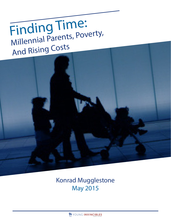# Finding Time: Millennial Parents, Poverty, And Rising Costs



## Konrad Mugglestone May 2015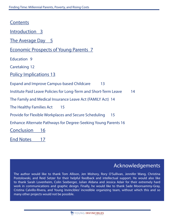Contents

| COLICELILO                                                             |
|------------------------------------------------------------------------|
| <u>Introduction 3</u>                                                  |
| The Average Day 5                                                      |
| <b>Economic Prospects of Young Parents 7</b>                           |
| <b>Education 9</b>                                                     |
| <b>Caretaking 12</b>                                                   |
| <b>Policy Implications 13</b>                                          |
| <b>Expand and Improve Campus-based Childcare</b><br>13                 |
| Institute Paid Leave Policies for Long-Term and Short-Term Leave<br>14 |
| The Family and Medical Insurance Leave Act (FAMILY Act) 14             |
| The Healthy Families Act<br>15                                         |
| Provide for Flexible Workplaces and Secure Scheduling<br>15            |
| <b>Enhance Alternate Pathways for Degree-Seeking Young Parents 16</b>  |
| Conclusion<br>16                                                       |
| <b>End Notes</b><br>17                                                 |

## Acknowledgements

The author would like to thank Tom Allison, Jen Mishory, Rory O'Sullivan, Jennifer Wang, Christina Postolowski, and Reid Setzer for their helpful feedback and intellectual support. He would also like to thank Sarah Lovenheim, Colin Seeberger, Julian Aldana and Jessica Adair for their extremely hard work in communications and graphic design. Finally, he would like to thank Sade Moonsammy-Gray, Cristina Calvillo-Rivera, and Young Invincibles' incredible organizing team, without which this and so many other projects would not be possible.

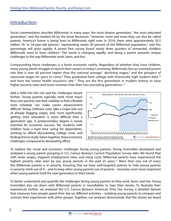## Introduction

Social commentators describe Millennials in many ways: the most diverse generation, $<sup>1</sup>$  the most educated</sup> generation,<sup>2</sup> and the hardest hit by the Great Recession.<sup>3</sup> However, more and more they can also be called parents. America's future is being born to Millennials right now. In 2014, there were approximately 20.5 million 18- to 34-year-old parents,<sup>4</sup> representing nearly 30 percent of the Millennial population,<sup>5</sup> and this percentage will grow rapidly. A recent Pew survey found nearly three quarters of unmarried, childless Millennials want to have children.<sup>6</sup> The world is changing rapidly, and being a parent presents unique challenges to the way Millennials work, learn, and live.

Compounding these challenges is a harsh economic reality. Regardless of whether they have children, many young adults struggle to launch their careers in today's economy. Millennials face an unemployment rate that is over 40 percent higher than the national average,<sup>7</sup> declining wages, $^8$  and the prospect of repressed wages for years to come.<sup>9</sup> They graduated from college with historically high student debt,<sup>10</sup> and have the lowest health insurance rate.<sup>11</sup> They are the first generation in modern history to have higher poverty rates and lower incomes than their two preceding generations.<sup>12</sup>

Add a child into this mix and the challenges mount further. Young parents typically work more hours than non-parents, but their inability to find a flexible work schedule can make career advancement difficult. Rising childcare costs take a major bite out of already flagging wages, and, most significantly, getting one's education is more difficult than a generation ago. A postsecondary degree is nearly essential for economic success. Yet, students with children have a hard time caring for dependents, working to afford skyrocketing college costs, and finding time to study. Taken together, these economic challenges compound to devastating effect.



To explore the social and economic challenges facing young parents, Young Invincibles developed and analyzed a young parent grouping in U.S. Census Bureau's Current Population Survey data. We found that with lower wages, stagnant employment rates, and rising costs, Millennial parents have experienced the highest poverty rates seen by any young parents in the past 25 years.<sup>13</sup> More than one out of every five Millennial parents is in poverty. Ensuring that we have well-targeted policies to help young parents in poverty climb out of it – and to keep other young parents out of poverty – becomes even more important when young parents hold the next generation in their hands.

To better understand and quantify the challenges facing young parents as they work, learn, and live, Young Invincibles also sat down with Millennial parents in roundtables to hear their stories. To illustrate their experiences further, we analyzed the U.S. Census Bureau's American Time Use Survey, a detailed dataset that measures how people spend their day on different activities – isolating young parents to compare and contrast their experiences with other groups. Together, our analyses demonstrate that the stories we heard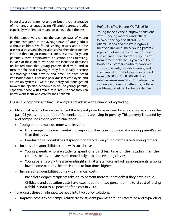in our discussions are not unique, but are representative of the many challenges facing Millennial parents broadly, especially with limited means to achieve their dreams.

In this paper, we examine the average days of young parents compared to the average days of young adults without children. We found striking results about time use, social costs, and financial costs. We then delve deeper into the three major economic areas essential for young parents' success: employment, education, and caretaking. In each of these areas, we show the increased demands on limited time that young parents deal with, and in turn, the financial challenges they face. Finally, because our findings about poverty and time use have broad implications for our nation's policymakers, employers, and education systems – we outline policy solutions geared toward the specific economic needs of young parents, especially those with limited resources, so that they can better work, learn, and care for their children.

Profile Box: The Parents We Talked To Young Invincibles held lengthy discussions with 13 young mothers and fathers between the ages of 18 and 35 in Miami, Florida and the Washington, DC metropolitan area. These young parents represent a broad range of circumstances. For instance, their children range in age from three months to 14 years old. Their households contain partners, fiancé/es, spouses, parents, or grandparents, and their annual household incomes ranged from \$16,000 to \$300,000. All of our interviewees were working or had a partner working, and one was attending college, part-time, to get her bachelor's degree.

Our unique economic and time-use analyses provide us with a number of key findings:

- Millennial parents have experienced the highest poverty rates seen by any young parents in the past 25 years, and one fifth of Millennial parents are living in poverty. This poverty is caused by and compounds the following challenges:
	- » Young parents must do more with less time:
		- On average, increased caretaking responsibilities take up more of a young parent's day than their jobs.
		- Caretaking responsibilities disproportionately fall on young mothers over young fathers.
	- » Increased responsibilities come with social costs:
		- Young parents who are students spend one third less time on their studies than their childless peers, and are much more likely to attend evening classes.
		- Young parents work the after-midnight shift at a rate twice as high as non-parents; among low-income parents, the rate is three to four times higher.
	- » Increased responsibilities come with financial costs:
		- Bachelor's degree recipients take on 25 percent more student debt if they have a child.
		- Childcare and education costs have expanded from two percent of the total cost of raising a child in 1960 to 18 percent of the cost in 2013.
- To address these challenges, we need intuitive policy solutions:
	- » Improve access to on-campus childcare for student parents through reforming and expanding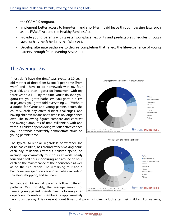the CCAMPIS program.

- » Implement better access to long-term and short-term paid leave through passing laws such as the FAMILY Act and the Healthy Families Act.
- » Provide young parents with greater workplace flexibility and predictable schedules through laws such as the Schedules that Work Act.
- » Develop alternate pathways to degree completion that reflect the life-experience of young parents through Prior Learning Assessment.

## The Average Day

"I just don't have the time," says Yvette, a 30-yearold mother of three from Miami. "I get home [from work] and I have to do homework with my four year old, and then I gotta do homework with my three year old […]. By the time you're finished you gotta eat, you gotta bathe 'em, you gotta put 'em in pajamas, you gotta fold everything … " Without a doubt, for Yvette and young parents across the country, each day offers distinct challenges, and having children means one's time is no longer one's own. The following figures compare and contrast the average amounts of time Millennials with and without children spend doing various activities each day. The trends predictably demonstrate strain on young parents' time.

The typical Millennial, regardless of whether she or he has children, has around fifteen waking hours each day. Millennials without children spend, on average: approximately four hours at work, nearly four and a half hours socializing, and around an hour each on the maintenance of their household as well as on their education. The remaining four and a half hours are spent on varying activities, including traveling, shopping, and self-care.

In contrast, Millennial parents follow different patterns. Most notably, the average amount of time a young parent spends directly looking after dependent household members is approximately





two hours per day. This does not count times that parents indirectly look after their children. For instance,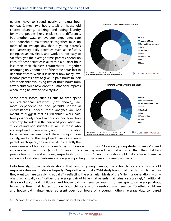parents have to spend nearly an extra hour per day (almost two hours total) on household chores; cleaning, cooking, and doing laundry for more people likely explains the difference. Put another way, on average, dependent care and household maintenance together take up more of an average day than a young parent's job. Necessary daily activities such as self care, eating, traveling, sleep, and work are not easy to sacrifice, yet the average time parents spend on each of these activities is all within a quarter-hour less than their childless counterparts – together recouping only about one of the three hours lost to dependent care. While it is unclear how many lowincome parents have to give up paid hours to look after their children, losing two or three hours from a work shift could have enormous financial impacts when living below the poverty line.

Some other losses, such as cuts to time spent on educational activities (not shown), are more dependent on the parent's individual circumstances. Indeed, these analyses are not meant to suggest that all Millennials work halftime jobs or only spend an hour on their education each day. Included in the analyzed population are students and non-students, as well as those who are employed, unemployed, and not in the labor force. When we examined these groups more closely, we found that employed parents and nonparents each spend, on average, almost exactly the





same number of hours at work each day (5.2 hours – not shown).<sup>14</sup> However, young student-parents<sup>A</sup> spend an average of two hours (about 33 percent) less per day on educational activities than their childless peers – four hours and six hours, respectively (not shown).15 Two hours a day could make a large difference in how well a student performs in college – impacting future plans and career prospects.

Unfortunately, further analysis shows that, among young parents, the extra childcare and household responsibilities are not divided equally. Despite the fact that a 2014 study found that two thirds of fathers say they want to share caregiving equally<sup>16</sup> – reflecting the egalitarian ideals of the Millennial generation<sup>17</sup> – only one third actually do.18 Rather, the average pair of Millennial parents maintains a surprisingly "traditional" division of paid work, childcare, and household maintenance. Young mothers spend, on average, about twice the time that fathers do on both childcare and household maintenance. Together, childcare and household maintenance represent over four hours of a young mother's average day, compared

A Any parent who reported time spent in class on the day of her or his response.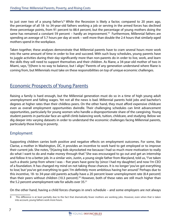to just over two of a young father's.<sup>B</sup> While the Recession is likely a factor, compared to 20 years ago, the percentage of all 18- to 34-year-old fathers working a job or serving in the armed forces has declined three percentage points, from 91 percent to 88.4 percent, but the percentage of young mothers doing the same has remained a constant 59 percent – hardly an improvement.<sup>19</sup> Furthermore, Millennial fathers are spending an average of 5.7 hours per day at work – well more than double the 2.4 hours that similarly-aged mothers spend in the workplace.

Taken together, these analyses demonstrate that Millennial parents have to cram several hours more work into the same amount of time in order to live and succeed. With such busy schedules, young parents have to juggle activities during their day significantly more than non-parents do in order to live, work, and learn the skills they will need to support themselves and their children. As Riane, a 34-year-old mother of two in Miami, says, "[t]here is no way to balance, but I align." Parents of any generation understand where Riane is coming from, but Millennials must take on these responsibilities on top of unique economic challenges.

## Economic Prospects of Young Parents

Raising a family is hard enough, but the Millennial generation must do so in a time of high young adult unemployment and falling wages. Yet not all the news is bad. Millennial parents hold jobs and bachelor's degrees at higher rates than their childless peers. On the other hand, they must afford expensive childcare even as overall employment opportunities dwindle. Their challenging schedules can limit advancement opportunities, particularly for young women who handle a disproportionate share of the caregiving. Young student parents in particular face an uphill climb balancing work, tuition, childcare, and studying. Below we dig deeper into varying datasets in order to understand the economic challenges facing Millennial parents, particularly those living in poverty.

### Employment

Supporting children carries both positive and negative effects on employment outcomes. For some, like Clarise, a mother in Washington, DC, it provides an incentive to work hard to get employed or to improve their current job. She notes, "[h]aving kids skyrocketed me because I had so much more motivation to really do what I want to do and make money through that." She was encouraged to go out and get an internship and follow it to a better job. In a similar vein, Justin, a young single father from Maryland, told us, "I've taken such a drastic jump from where I was – five years have gone by [since I had my daughter] and now I'm CEO of a foundation. It has changed my mind on not taking those chances. It is no longer 'you've got everything to lose,' but 'you've got everything to gain.' I'm definitely more ambitious having her around." Perhaps due to this incentive, 18- to 34-year-old parents actually have a 20 percent lower unemployment rate (8.4 percent) than their peers without children (10.3 percent).<sup>20</sup> However, both of these rates are still much higher than the 5.2 percent unemployment rate for adults over  $35.^{21}$ 

On the other hand, having a child forces changes in one's schedule – and some employers are not always

B This difference is at least partially due to the fact that dramatically fewer mothers are working jobs. However, even when that is taken into account, young fathers work more hours.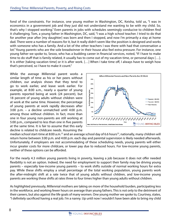fond of the constraints. For instance, one young mother in Washington, DC, Keisha, told us, "I was in economics in a government job and they just did not understand me wanting to be with my child. So, that's why I stopped working." Even parents in jobs with schedules seemingly conducive to children find it challenging. Tom, a young father in Washington, DC, said, "I was a high school teacher. I tried to do that for another year after [my daughter] was born and then I stopped, and now I'm primarily a stay at home dad. There were a number of reasons for it, but it really didn't seem like the position is designed and works with someone who has a family. And a lot of the other teachers I was there with had that conversation a lot." Young parents who are the sole breadwinner in their house also feel extra pressure. For instance, one young father we spoke to, Sesoo, who has a budding career in financial services, noted, "If I have to make time to do stuff that is family related, it usually has to come out of my vacation time, or personal days […]. It is either [taking vacation time] or it is after work. […] When I take time off, I always have to weigh how that's perceived, so I have to make it count."

While the average Millennial parent works a similar length of time as his or her peers without children, our analysis shows that they tend to go to work earlier, and leave work earlier. For example, at 8:00 a.m., nearly a quarter of young parents reported being at work (24 percent), but 18 percent of young adults without children were at work at the same time. However, the percentage of young parents at work rapidly decreases after 3:00 p.m. – a decline unmatched until 4:00 p.m. among those without children. In fact, more than one in four young non-parents are still working at 5:00 p.m., compared to less than one in five parents at the same time. It is fair to assume that this early decline is related to childcare needs. Assuming the



median school start-time at 8:00 a.m.<sup>22</sup> and an average school day of 6.6 hours<sup>23</sup>, nationally, many children will return home between 3:00 p.m. and 4:00 p.m. each day and parental supervision is likely needed afterwards. Unfortunately, if employers are not accommodating of these scheduling needs, young parents will either incur greater costs for more childcare, or lower pay due to reduced hours. For low-income young parents, neither of these options can be afforded.

For the nearly 4.3 million young parents living in poverty, leaving a job because it does not offer needed flexibility is not an option. Indeed, the need for employment to support their family may be driving young parents – especially low-income young parents – to work shifts outside of normal working hours for extra pay. While these shifts employ a small percentage of the total working population, young parents work the after-midnight shift at a rate twice that of young adults without children, and low-income young parents are working these shifts at rates three to four times higher than young adults without children.

As highlighted previously, Millennial mothers are taking on more of the household burden, participating less in the workforce, and working fewer hours on average than young fathers. This is not only to the detriment of their careers, but also against the life goals of many women. One young mother we spoke to, Courtney, states, "I definitely sacrificed having a real job. I'm a nanny. Up until now I wouldn't have been able to bring my child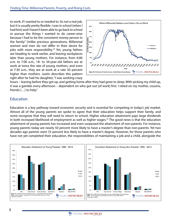to work, if I wanted to or needed to. Its not a real job, but it is usually pretty flexible. I was in school [when I had him] and I haven't been able to go back to school or pursue the things I wanted to do career-wise because I had to be the consistent money person in the family." Unlike previous generations, Millennial women and men do not differ in their desire for jobs with more responsibility.<sup>24</sup> Yet, young fathers are heading to work earlier, and leaving workplaces later than young mothers. For instance, from 6:00 a.m. to 7:00 a.m., 18- to 34-year-old fathers are at work at twice the rate of young mothers, and even at 7:30 a.m., they are at work at a rate 50 percent higher than mothers. Justin describes this pattern right after he had his daughter, "I was working crazy



hours – leaving before they got up, and getting home after they had gone to sleep. With picking my child up, it was a gamble every afternoon – dependent on who got out [of work] first. I relied on my mother, cousins, friends […] to help."

### Education

Education is a key pathway toward economic security and is essential for competing in today's job market. Almost all of the young parents we spoke to agree that their education helps support their family, and some recognize that they will need to return to school. Higher education attainment pays large dividends in both increased likelihood of employment as well as higher wages.<sup>25</sup> The good news is that the education attainment of young parents has increased and even surpassed the attainment of non-parents. For instance, young parents today are nearly 50 percent more likely to have a master's degree than non-parents. Yet two decades ago parents were 33 percent less likely to have a master's degree. However, for those parents who have not yet completed their education, the responsibilities of maintaining a job and a child, alongside the

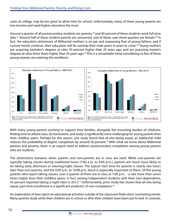costs of college, may be too great to allow time for school. Unfortunately, many of these young parents are low-income and need higher education the most.

Around a quarter of all postsecondary students are parents,<sup>26</sup> and 40 percent of these students work full-time jobs.<sup>27</sup> Around half of these student-parents are unmarried, and of these, over three quarters are female.<sup>28</sup> In fact, the education attainment of Millennial mothers is on par and surpassing that of young fathers, and if current trends continue, their education will far outstrip their male peers in years to come.29 Young mothers are acquiring bachelor's degrees at rates 50 percent higher than 20 years ago, and are acquiring master's degrees at rates three times higher than 20 years ago.<sup>30</sup> This is a remarkable trend considering so few of these young women are entering the workforce.



With many young parents working to support their families, alongside the mounting burden of childcare, finding time to attend class, do homework, and study is significantly more challenging for young parents than their childless peers. Perhaps for this reason, one study found that all else being equal, an additional child reduces the probability of degree completion by around 50 percent.<sup>31</sup> With what we know about Millennial parents and poverty, there is an urgent need to address postsecondary completion among young parents who are students.

The distinctions between when parents and non-parents are in class are stark. While non-parents are typically taking classes during traditional hours (7:00 a.m. to 4:00 p.m.), parents are much more likely to be taking early afternoon or evening/night classes. The typical start time for parents is nearly two hours later than non-parents, and the 6:00 p.m. to 10:00 p.m. block is especially important to them. Of the young parents who report taking classes, over a quarter of them are in class at 7:00 p.m. – a rate more than seven times higher than their childless peers. In fact, among independent students with their own dependents, 43 percent reported taking a night class in 2012.<sup>32</sup> Unfortunately, prior study has shown that all else being equal, part-time enrollment is a significant predictor of non-completion.33

An exploration of time spent on educational activities outside of the classroom finds other contrasting trends. Many parents study while their children are in school or after their children have been put to bed. In contrast,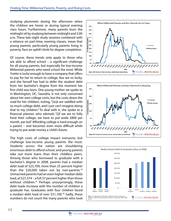studying plummets during the afternoon when the children are home or during typical evening class hours. Furthermore, many parents burn the midnight oil by studying between midnight and 2:00 a.m. These late night study sessions combined with a reliance on part-time, evening classes, mean that young parents, particularly young parents living in poverty, face an uphill climb for degree completion.

Of course, these trends only apply to those who are able to afford school – a significant challenge for all young parents, but especially for low-income Millennial parents who need school the most. While Yvette is lucky enough to have a company that offers to pay for her to return to college, few are so lucky, and she herself has had to defer the student debt from her bachelor's degree from the moment her first child was born. One young mother we spoke to in Washington, DC, Saundra, is not only concerned about her own college costs, but the costs down the road for her children, noting, "[w]e are saddled with so much college debt, and I just can't imagine doing that to my children." To deal with it, she spoke to a financial planner, who advised, "[i]f we are to fully fund their college, we have to put aside \$800 per month, per kid." Affording college is hard enough on a parent – and becomes even more difficult while trying to put aside money a child's future.

The high costs of college impact everyone, but challenge low-income young parents the most. Students across the nation are shouldering enormous debt to afford school, and young parents take out more loans than their childless peers. Among those who borrowed to graduate with a bachelor's degree in 2008, parents had a median debt load of \$25,709, more than 25 percent higher than the \$20,000 taken out by non-parents. $34$ Unmarried parents had an even higher median debt load, at \$27,374 – a full 37 percent higher than those without children.<sup>35</sup> Perhaps unsurprisingly, these debt loads increase with the number of children a graduate has. Graduates with four children faced a median debt load of over \$31,100.<sup>36</sup> Sadly, these numbers do not count the many parents who took





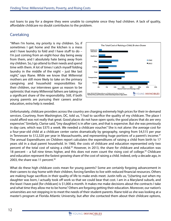out loans to pay for a degree they were unable to complete once they had children. A lack of quality, affordable childcare no doubt contributes to the problem.

#### **Caretaking**

"When I'm home, my priority is my children. So, if sometimes I get home and the kitchen is a mess and I have laundry to fold and I have stuff to do – I'm just coming from an eight-hour day being away from them, and I absolutely hate being away from my children. So, I go attend to their needs and spend time with them. A lot of times I catch myself folding laundry in the middle of the night – just like last night," says Riane. While we know that Millennial mothers are still more likely to take on the primary caregiving and household responsibilities for their children, our interviews gave us reason to be optimistic that many Millennial fathers are taking on a significant share of the responsibility. Still, if both young parents are pursuing their careers and/or education, extra help is needed.



Unfortunately, childcare providers across the country are charging extremely high prices for their in-demand services. Courtney, from Washington, DC, told us, "I had to sacrifice the quality of my childcare. The place I could afford was not really that great. Good places do not have open spots; the good places that do are very expensive." Similarly, Clarise said, "[my daughter] is in after care, and that is expensive. But she was previously in day care, which was \$375 a week. We needed a childcare voucher." She is not alone: the average cost for a four-year-old child at a childcare center varies dramatically by geography, ranging from \$4,515 per year in Tennessee to \$12,320 per year in Massachusetts, and representing huge portions of a parent's income.<sup>37</sup> The annual Expenditures on Children report calculates the expenditures of raising a child from birth to 17 years old in a dual parent household. In 1960, the costs of childcare and education represented only two percent of the total cost of raising a child.<sup>38</sup> However, in 2013, the share for childcare and education was 18 percent – a full nine times higher, and this does not even count the rising cost of college.<sup>39</sup> Childcare and education represent the fastest growing share of the cost of raising a child. Indeed, only a decade ago, in 2003, the share was 11 percent.<sup>40</sup>

What do these high childcare costs mean for young parents? Some are certainly forgoing advancement in their careers to stay home with their children, forcing families to live with reduced financial resources. Others are making huge sacrifices in their quality of life to make ends meet. Justin tells us, "[s]tarting out when my daughter was born, I actually took off work so that we could bear that cost. I am in a Maryland suburb, and the least I have paid [for childcare] is \$1,000 a month. It makes me make decisions about the contracts I take and what time they allow me to be home." Others are forgoing getting their education. Moreover, our nation's universities are not stepping in to meet the needs of their student-parents. Riane told us she was looking at a master's program at Florida Atlantic University, but after she contacted them about their childcare options,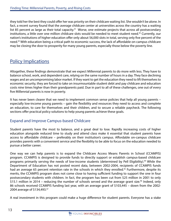they told her the best they could offer her was priority on their childcare waiting list. She wouldn't be alone. In fact, a recent survey found that the average childcare center at universities across the country has a waiting list 85 percent as large as their total capacity.<sup>41</sup> Worse, one estimate projects that across all postsecondary institutions, a little over one million childcare slots would be needed to meet student need.<sup>42</sup> Currently, our nation's institutions of higher education offer only about 56,000 slots in total, serving only five percent of the need.43 With education being a critical path to economic success, the lack of affordable on-campus childcare may be closing the door to prosperity for many young parents, especially those below the poverty line.

## Policy Implications

Altogether, these findings demonstrate that we expect Millennial parents to do more with less. They have to balance school, work, and dependent care, relying on the same number of hours in a day. They face declining wages and an uncompromising labor market. If they want to get the education they need to lift themselves to economic security, they are forced to take on insurmountable student debt and pay childcare and education costs nine times higher than their grandparents paid. Due in part to all of these challenges, one out of every five Millennial parents is now in poverty.

It has never been clearer that we need to implement common sense policies that help all young parents – especially low-income young parents – gain the flexibility and resources they need to access and complete an education, to care for themselves and their children, and to secure a reliable paycheck. The following sections offer practical policy solutions to help young parents achieve these goals.

## Expand and Improve Campus-based Childcare

Student parents have the most to balance, and a great deal to lose. Rapidly increasing costs of higher education alongside reduced time to study and attend class make it essential that student parents have access to affordable childcare – preferably on their institution's campus. Affordable on-campus childcare provides parents with a convenient service and the flexibility to be able to focus on the education needed to pursue a better career.

One way we can help parents is to expand the Childcare Access Means Parents in School (CCAMPIS) program. CCAMPIS is designed to provide funds to directly support or establish campus-based childcare programs primarily serving the needs of low-income students (determined by Pell Eligibility).<sup>44</sup> While the Department of Education has not posted recent data, between 2002-2004, recipients of CCAMPIS funds had an average 65 percent retention rate in the schools in which they enrolled.<sup>45</sup> Furthermore, despite its merits, the CCAMPIS program does not come close to having sufficient funding to support the one in four postsecondary students with children. In fact, the program has been cut from \$25 million in 2001 to only \$15.1 million in 2014 – reducing the number of schools served and the average grant size.<sup>46</sup> Indeed, only 86 schools received CCAMPIS funding last year, with an average grant of \$103,445 – down from the 2002- 2004 average of \$134,493.47

A real investment in this program could make a huge difference for student parents. Everyone has a stake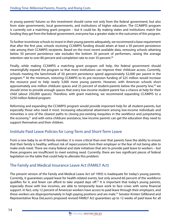in young parents' futures so this investment should come not only from the federal government, but also from state governments, local governments, and institutions of higher education. The CCAMPIS program is currently not a matching grant program – but it could be. By making states and institutions match the funding they get from the federal government, everyone has a greater stake in the outcomes of this program.

To further incentivize schools to invest in their young parents adequately, we recommend a base requirement that after the first year, schools receiving CCAMPIS funding should attain at least a 50 percent persistence rate among their CCAMPIS recipients. Based on the most recent available data, removing schools attaining below 50 percent persistence rate excludes the bottom 20 percent of performers, raising the average retention rate to over 80 percent and completion rate to over 35 percent.<sup>48</sup>

Finally, while making CCAMPIS a matching grant program will help, the federal government should meaningfully expand the program so that more institutions can improve their childcare access. Currently, schools meeting the benchmark of 50 percent persistence spend approximately \$2,000 per parent in the program.49 At the minimum, restoring CCAMPIS to its pre-recession funding of \$25 million would increase the resource pool to help nearly 5,000 more young parents. However, with American schools short approximately one million childcare spaces and 25 percent of student-parents below the poverty line,<sup>50</sup> we should strive to provide enough spaces that every low-income student-parent has a chance at help for their child (about 250,000 spaces). Therefore, with grant matching, we recommend expanding CCAMPIS to a \$250 million federal program.

Reforming and expanding the CCAMPIS program would provide important help for all student-parents, but especially those who need it most. Increasing educational attainment among low-income individuals and minorities is one of the clearest paths to closing pre-existing inequities in the workforce and jumpstarting the economy,51 and with extra childcare assistance, low-income parents can get the education they need to support themselves and their children.

## Institute Paid Leave Policies for Long-Term and Short-Term Leave

From a new baby to an ill family member, it is more critical than ever that parents have the ability to ensure that their family is healthy, without risk of repercussions from their employer or the fear of not being able to make ends meet. There are many federal and state initiatives that aim to provide paid leave to workers – but these programs are insufficient to meet existing need. Currently, there are two significant pieces of federal legislation on the table that could help to alleviate this problem:

### The Family and Medical Insurance Leave Act (FAMILY Act)

The present version of the Family and Medical Leave Act (of 1993) is inadequate for today's young parents. Currently, it guarantees unpaid leave for health-related events, but only around 60 percent of the workforce qualifies for it, and fewer can afford to take unpaid days off.<sup>52</sup> It is important that today's young parents, especially those with low incomes, are able to temporarily leave work to face crises with some financial support. In fact, only 12 percent of American workers have access to paid leave through their employers, and these workers are disproportionately in high-paying positions and are male.<sup>53</sup> Senator Kristen Gillibrand and Representative Rosa DeLauro's proposed revised FAMILY Act guarantees up to 12 weeks of paid leave for all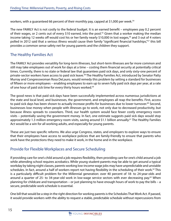workers, with a guaranteed 66 percent of their monthly pay, capped at \$1,000 per week.<sup>54</sup>

The new FAMILY Act is not costly to the federal budget. It is an earned benefit – employees pay 0.2 percent of their wages, or 2 cents out of every \$10 earned, into the pool.<sup>55</sup> Given that a worker making the median income taking 12 weeks off would cost his or her family nearly \$10,000 in lost wages,<sup>56</sup> and 3 out of 4 voters polled in 2012 said that a serious illness would cause their family "significant financial hardships,"<sup>57</sup> this bill provides a common sense safety net for young parents and the children they support.

### The Healthy Families Act

The FAMILY Act provides versatility for long-term illnesses, but short-term illnesses are far more common and still may take employees out of work for days at a time – costing them financial security at potentially critical times. Currently, there is no state or federal law that guarantees paid sick days, and only sixty-one percent of private-sector workers have access to paid sick leave.<sup>58</sup> The Healthy Families Act, introduced by Senator Patty Murray and Congresswoman Rosa DeLauro, would remedy this problem by setting a standard for businesses of fifteen or more employees – enabling employees to earn up to seven fully paid sick days per year, at a rate of one hour of paid sick time for every thirty hours worked.<sup>59</sup>

The good news is that paid sick days have been successfully implemented across numerous jurisdictions at the state and local level, and businesses, the government, and employees all reap the benefits. First, access to paid sick days has been shown to actually increase profits for businesses due to lower turnover.<sup>60</sup> Second, businesses lose money when people with illnesses go to work, not only due to decreased productivity, but because illness spreads to coworkers. Third, our health system would face fewer costly emergency room visits – potentially saving the government money. In fact, one estimate suggests paid sick days would stop approximately 1.3 million emergency room visits, saving around \$1.1 billion annually.<sup>61</sup> The Healthy Families Act would be a win for all working adults, and especially for young parents.

These are just two specific reforms. We also urge Congress, states, and employers to explore ways to ensure that their employees have access to workplace policies that are family-friendly to ensure that parents who work have the protections they need to make it work, in the home and in the workplace.

### Provide for Flexible Workplaces and Secure Scheduling

If providing care for one's child around a job requires flexibility, then providing care for one's child around a job while attending school requires acrobatics. While young student-parents may be able to get around a typical workday by taking night classes, parents working low-income wage jobs may have unpredictable and unstable schedules. In fact, around a half of workers report not having flexibility in the scheduling of their work.<sup>62</sup> This is a particularly difficult problem for the Millennial generation: over 40 percent of 18- to 24-year-olds and around a quarter of 25- to 34-year-old work in low-wage service sectors with ever decreasing pay.<sup>63</sup> When planning for childcare and transportation – or just planning to have enough hours of work to pay the bills – a secure, predictable work schedule is essential.

One bill that would be a step in the right direction for working parents is the Schedules That Work Act. If passed, it would provide workers with the ability to request a stable, predictable schedule without repercussions from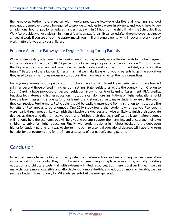their employer. Furthermore, in sectors with more unpredictable, low-wage jobs like retail, cleaning, and food preparation, employers would be required to provide schedules two weeks in advance, and would have to pay an additional hour of pay for schedule changes made within 24 hours of the shift. Finally, the Schedules That Work Act provides workers with a minimum of four hours pay for a shift cancelled after the employee has already arrived at work. If you are one of the approximately four million young parents living in poverty, every hour of work matters for you and your children.

## Enhance Alternate Pathways for Degree-Seeking Young Parents

While postsecondary attainment is increasing among young parents, so are the demands for higher degrees in the workforce. In fact, by 2020, 65 percent of jobs will require postsecondary education.<sup>64</sup> It is no secret that higher education attainment pays huge dividends in salary and income both immediately and far into the future.<sup>65</sup> Because of these factors, it is essential that we make it easier for young parents to get the education they need to earn the money necessary to support their families and better their children's lives.

Many young parents who hope to return to school have had significant life experiences and have learned skills far beyond those offered in a classroom setting. State legislatures across the country from Oregon to South Carolina have proposed or passed legislation allowing for Prior Learning Assessment (PLA) credits, but state legislatures and higher education institutions can do more. Institutions of higher education should take the lead in assessing students for prior learning, and should strive to make students aware of the credits they can receive. Furthermore, PLA credits should be easily transferrable from institution to institution. The benefits of PLA appear to be enormous. One 2010 study found that students who received PLA credits were nearly three times as likely to finish their bachelor's degrees and twice as likely to finish their associate degrees as those who did not receive credit, and finished their degrees significantly faster.<sup>66</sup> More degrees will not only help the economy, but will help young parents support their families, and encourage their own children to strive for higher education. Finally, with student debt at its highest levels, and the debt even higher for student parents, any way to shorten the path to essential educational degrees will have long-term benefits for our economy and for the financial security of our nation's young parents.

## **Conclusion**

Millennial parents have the highest poverty rate in a quarter-century, and are bringing the next generation into a world of uncertainty. They must balance a demanding workplace, scarce time, and skyrocketing education and childcare costs – all with extremely limited resources. But, there is a silver lining: if we can make childcare more accessible and affordable, work more flexible, and education more achievable, we can secure a better future not only for Millennial parents but the next generation.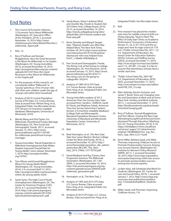## End Notes

- 1. The Council of Economic Advisors, 15 Economic Facts About Millennials (Washington, DC: Executive Office of the President, 2014), 5, accessed November 19, 2014, http://www. whitehouse.gov/sites/default/files/docs/ millennials\_report.pdf.
- 2. Ibid., 12.
- 3. Rory O'Sullivan and Konrad Mugglestone, How the Great Recession is the Worst for Millennials in Six Graphs (Washington, DC: Young Invincibles, 2013), accessed November 19, 2014, http://younginvincibles.org/wp-content/ uploads/2013/07/How-the-Great-Recession-is-the-Worst-for-Millennialsin-Six-Graphs.pdf.
- 4. For the purposes of this research, we consistently define "Millennial" or "young" parents as 18-to 34-year-olds with their own children under the age of 18 years old within their household.
- 5. Analysis of 2014 Current Population Survey (CPS) Data, U.S. Census Bureau. Data accessed from: Miriam King, et al., Integrated Public Use Microdata Series, CPS: Version 3.0 [machine-readable database] (Minneapolis: University of Minnesota, 2010).
- 6. Wendy Wang and Paul Taylor, For Millennials, Parenthood Trumps Marriage (Washington, DC: Pew Social and Demographic Trends, 2011), accessed January 15, 2015, http://www. pewsocialtrends.org/2011/03/09/ for-millennials-parenthood-trumpsmarriage/.
- 7. Young Invincibles, "Racial Disparities in Millennial Unemployment Rate Widen Despite Improved Overall Rate for Young Adults," news release, November 7, 2014, http://younginvincibles. org/10703/.
- 8. Tom Allison and Konrad Mugglestone, Where Do Young Adults Work? (Washington, DC: Young Invincibles, 2014), 3-4, accessed April 13, 2015, http://younginvincibles.org/issues/jobs/ where-do-young-adults-work/.
- 9. Sarah Ayres, The High Cost of Youth Unemployment (Washington, DC: The Center for American Progress (CAP), 2013), 6-7, accessed November 19, 2014, http://cdn.americanprogress. org/wp-content/uploads/2013/04/ AyresYouthUnemployment1.pdf.
- 10. Sandy Baum, Diane Cardenas Elliot, and Jennifer Ma, Trends in Student Aid 2014 (New York: College Board, 2014), 22-27, accessed December 16, 2014, http://trends.collegeboard.org/sites/ default/files/2014-trends-student-aidfinal-web.pdf.
- 11. Kevin Quealey and Margot Sanger-Katz, "Obama's Health Law: Who Was Helped Most," The New York Times, October 29, 2014, http://www.nytimes. com/interactive/2014/10/29/upshot/ obamacare-who-was-helped-most. html? r=0&abt=0002&abg=0.
- 12. Pew Social and Demographic Trends, The Rising Cost of Not Going to College (Washington, DC: Pew Research, 2014), accessed January 15, 2015, http://www. pewsocialtrends.org/2014/02/11/ the-rising-cost-of-not-going-tocollege/#fn-18529-4.
- 13. Analysis of 1989-2014 CPS Data, U.S. Census Bureau. Data accessed from: King, et al., Integrated Public Use Microdata Series.
- 14. Young Invincibles analysis of 2013 American Time Use Survey Data. Data accessed from: Sandra L. Hofferth, Sarah M. Flood, and Matthew Sobek, American Time Use Survey Data Extract System: Version 2.4 [machine-readable database] (College Park and Minneapolis: Maryland Population Research Center, University of Maryland and Minnesota Population Center, University of Minnesota, 2013).
- 15. Ibid.
- 16. Brad Harrington, et al., The New Dad: Take Your Leave (Boston: Boston College Center for Work and Family, 2014), 2, accessed December 16, 2014, http:// www.thenewdad.org/yahoo\_site\_admin/ assets/docs/BCCWF\_The\_New\_ Dad\_2014\_FINAL.157170735.pdf.
- 17. David Madland and Ruy Tuxiera, New Progressive America: The Millennial Generation (Washington, DC: CAP, 2009), 2, accessed December 16, 2014, http://cdn.americanprogress.org/wpcontent/uploads/issues/2009/05/pdf/ millennial\_generation.pdf.
- 18. Harrington, et al., The New Dad, 2.
- 19. Analysis of 1995 and 2014 CPS Data, U.S. Census Bureau. Data accessed from: King, et al., Integrated Public Use Microdata Series.
- 20. Analysis of 2014 CPS Data, U.S. Census Bureau. Data accessed from: King, et al.,

Integrated Public Use Microdata Series.

- 21. Ibid.
- 22. Prior research has placed the median start time for middle school at 8:00 a.m. (Finley Edwards, "Early to Rise? The Effect of Daily Start Times on Academic Performance," Economics of Education Review 31, no. 6: 971-973) and the average start time for high school at 7:59 a.m. ("Public School Data File, 2011–12," U.S. Department of Education, National Center for Education Statistics (NCES), Schools and Staffing Survey (SASS), accessed December 17, 2014, http://nces.ed.gov/surveys/sass/tables/ sass1112\_201381\_s1n.asp). It is fair to assume that elementary schools have a similar start time.
- 23. "Public School Data File, 2007-08," U.S. Department of Education, NCES, SASS, accessed December 17, 2014, http://nces.ed.gov/surveys/sass/tables/ sass0708\_035\_s1s.asp.
- 24. Ellen Galinsky, Kerstin Aumann, and James T. Bond, Times are Changing: Gender and Generation at Work and at Home (New York: Families and Work Institute, 2011), 1, accessed December 17, 2014, http://familiesandwork.org/downloads/ TimesAreChanging.pdf.
- 25. Rory O'Sullivan, Konrad Mugglestone, and Tom Allison, Closing the Race Gap: Alleviating Young African American Unemployment Through Education (Washington, DC: Young Invincibles, 2014), 9-10, https://d3n8a8pro7vhmx.cloudfront. net/yicare/ pages/141/attachments/ original/1403804069/Clos- ing\_the\_ Race\_Gap\_Ntnl\_6.25.14.pdf.
- 26. Kevin Miller, Barbara Gault, and Abby Thorman, Improving Childcare Access to Promote Postsecondary Success Among Low-Income Parents (Washington DC: Institute for Women's Policy Research (IWPR), 2011), 7, accessed December 18, 2014, http://www.iwpr.org/publications/pubs/improving-child-care-accessto-promote-postsecondary-successamong-low-income-parents.
- 27. Liz Ben-Ishai, Job Schedules that Work For Students (Washington, DC: Center for Law and Social Policy, 2014), 1, accessed January 7, 2015, http://www.clasp.org/ resources-and-publications/publication-1/SchedulesthatWork\_Students. pdf.
- 28. Miller, Gault, and Thorman, Improving Childcare Access, 7-8.